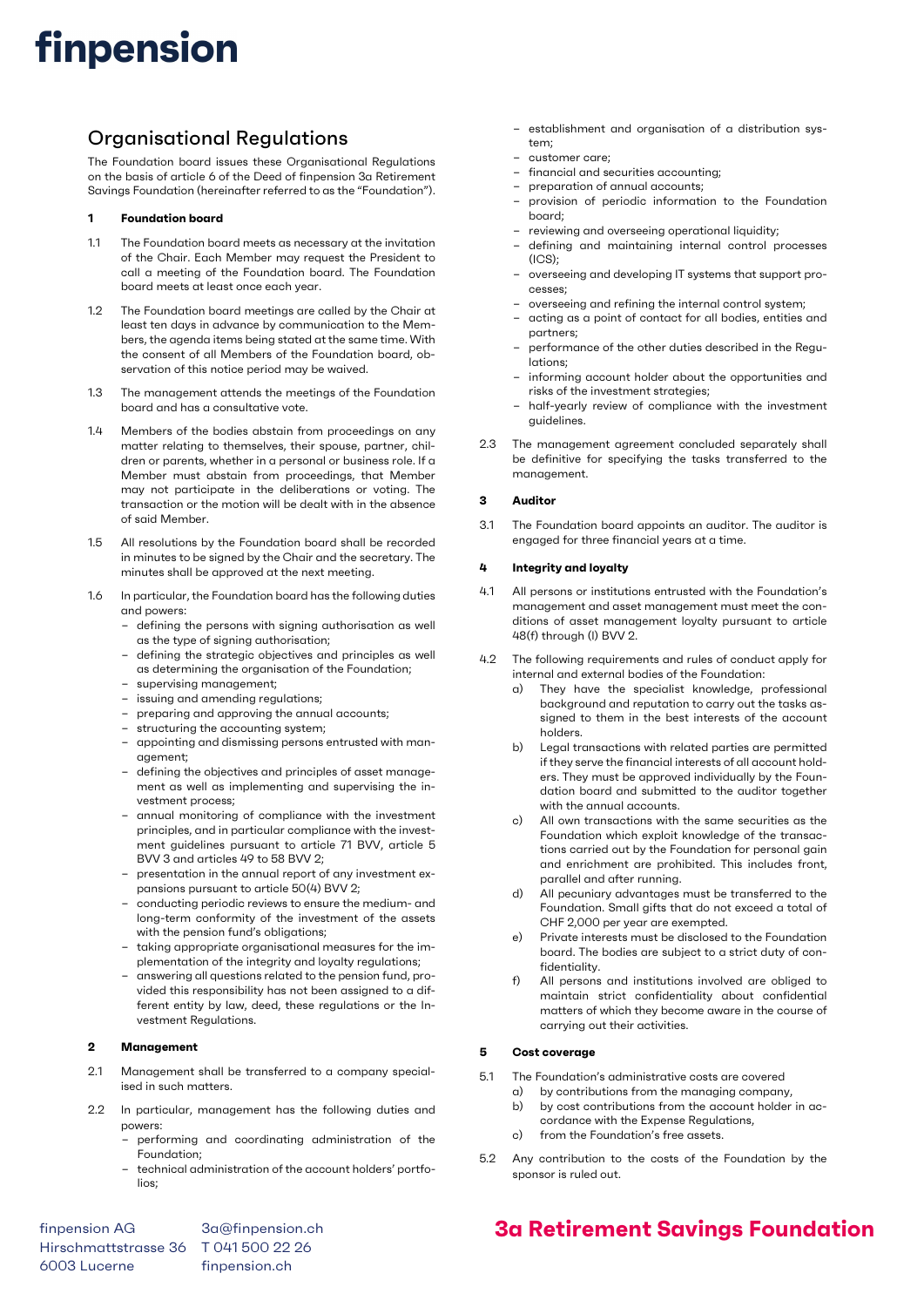## finpension

### Organisational Regulations

The Foundation board issues these Organisational Regulations on the basis of article 6 of the Deed of finpension 3a Retirement Savings Foundation (hereinafter referred to as the "Foundation").

#### 1 Foundation board

- 1.1 The Foundation board meets as necessary at the invitation of the Chair. Each Member may request the President to call a meeting of the Foundation board. The Foundation board meets at least once each year.
- 1.2 The Foundation board meetings are called by the Chair at least ten days in advance by communication to the Members, the agenda items being stated at the same time. With the consent of all Members of the Foundation board, observation of this notice period may be waived.
- 1.3 The management attends the meetings of the Foundation board and has a consultative vote.
- 1.4 Members of the bodies abstain from proceedings on any matter relating to themselves, their spouse, partner, children or parents, whether in a personal or business role. If a Member must abstain from proceedings, that Member may not participate in the deliberations or voting. The transaction or the motion will be dealt with in the absence of said Member.
- 1.5 All resolutions by the Foundation board shall be recorded in minutes to be signed by the Chair and the secretary. The minutes shall be approved at the next meeting.
- 1.6 In particular, the Foundation board has the following duties and powers:
	- defining the persons with signing authorisation as well as the type of signing authorisation;
	- defining the strategic objectives and principles as well as determining the organisation of the Foundation;
	- supervising management;
	- issuing and amending regulations; – preparing and approving the annual accounts;
	- structuring the accounting system;
	- appointing and dismissing persons entrusted with management;
	- defining the objectives and principles of asset management as well as implementing and supervising the investment process;
	- annual monitoring of compliance with the investment principles, and in particular compliance with the investment guidelines pursuant to article 71 BVV, article 5 BVV 3 and articles 49 to 58 BVV 2;
	- presentation in the annual report of any investment expansions pursuant to article 50(4) BVV 2;
	- conducting periodic reviews to ensure the medium- and long-term conformity of the investment of the assets with the pension fund's obligations;
	- taking appropriate organisational measures for the implementation of the integrity and loyalty regulations;
	- answering all questions related to the pension fund, provided this responsibility has not been assigned to a different entity by law, deed, these regulations or the Investment Regulations.

#### 2 Management

- 2.1 Management shall be transferred to a company specialised in such matters.
- 2.2 In particular, management has the following duties and powers:
	- performing and coordinating administration of the Foundation;
	- technical administration of the account holders' portfolios;
- establishment and organisation of a distribution system;
- customer care;
- financial and securities accounting;
- preparation of annual accounts;
- provision of periodic information to the Foundation board;
- reviewing and overseeing operational liquidity;
- defining and maintaining internal control processes  $(ICS)$ :
- overseeing and developing IT systems that support processes;
- overseeing and refining the internal control system;
- acting as a point of contact for all bodies, entities and partners;
- performance of the other duties described in the Regulations;
- informing account holder about the opportunities and risks of the investment strategies;
- half-yearly review of compliance with the investment guidelines.
- 2.3 The management agreement concluded separately shall be definitive for specifying the tasks transferred to the management.

#### 3 Auditor

3.1 The Foundation board appoints an auditor. The auditor is engaged for three financial years at a time.

#### 4 Integrity and loyalty

- 4.1 All persons or institutions entrusted with the Foundation's management and asset management must meet the conditions of asset management loyalty pursuant to article 48(f) through (l) BVV 2.
- 4.2 The following requirements and rules of conduct apply for internal and external bodies of the Foundation:
	- a) They have the specialist knowledge, professional background and reputation to carry out the tasks assigned to them in the best interests of the account holders.
	- b) Legal transactions with related parties are permitted if they serve the financial interests of all account holders. They must be approved individually by the Foundation board and submitted to the auditor together with the annual accounts.
	- c) All own transactions with the same securities as the Foundation which exploit knowledge of the transactions carried out by the Foundation for personal gain and enrichment are prohibited. This includes front, parallel and after running.
	- d) All pecuniary advantages must be transferred to the Foundation. Small gifts that do not exceed a total of CHF 2,000 per year are exempted.
	- e) Private interests must be disclosed to the Foundation board. The bodies are subject to a strict duty of confidentiality.
	- f) All persons and institutions involved are obliged to maintain strict confidentiality about confidential matters of which they become aware in the course of carrying out their activities.

#### 5 Cost coverage

- 5.1 The Foundation's administrative costs are covered
	- a) by contributions from the managing company,
	- b) by cost contributions from the account holder in accordance with the Expense Regulations,
	- c) from the Foundation's free assets.
- 5.2 Any contribution to the costs of the Foundation by the sponsor is ruled out.

finpension AG 3a@finpension.ch Hirschmattstrasse 36 T 041 500 22 26 6003 Lucerne finpension.ch

### 3a Retirement Savings Foundation